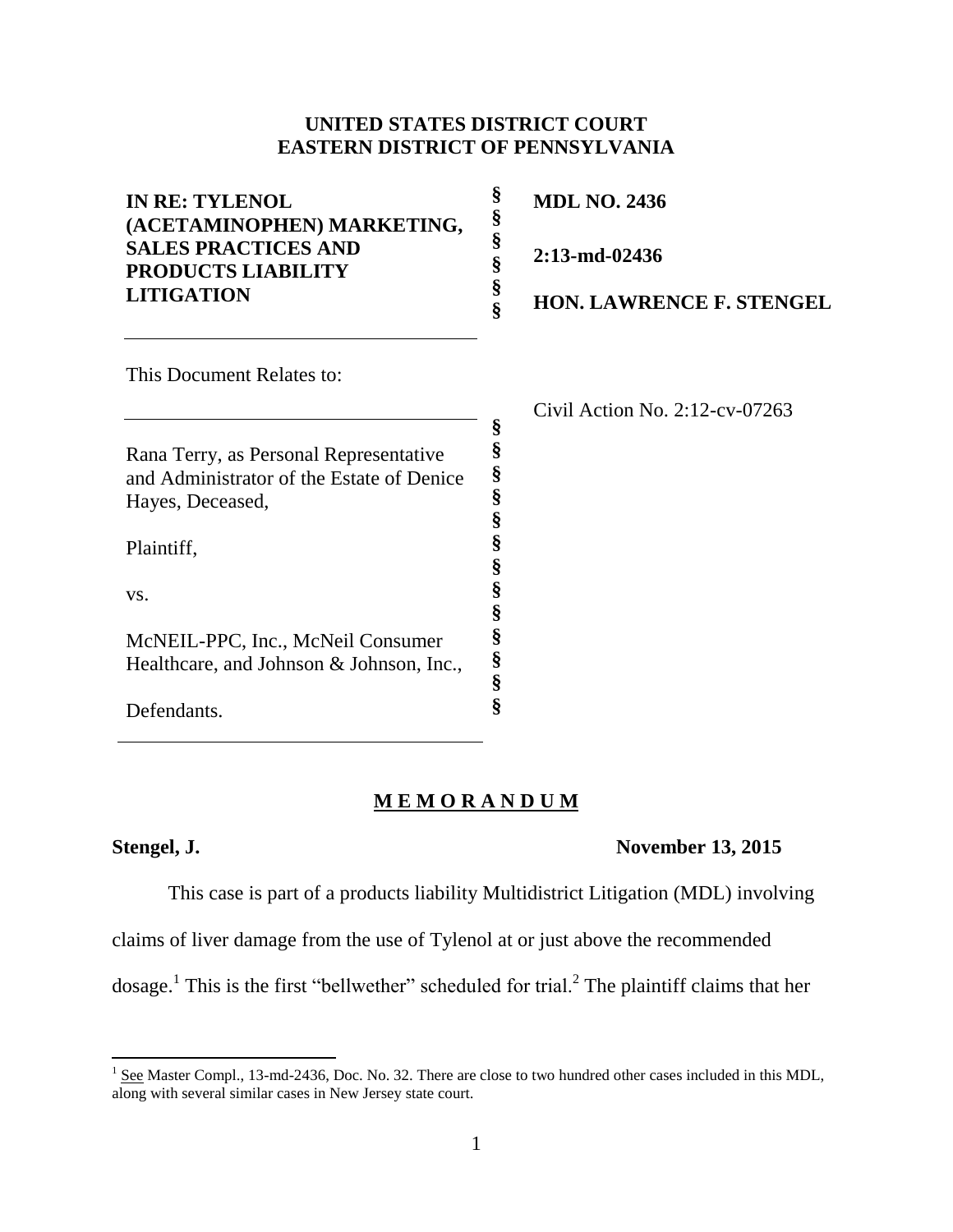## **UNITED STATES DISTRICT COURT EASTERN DISTRICT OF PENNSYLVANIA**

| <b>IN RE: TYLENOL</b><br>(ACETAMINOPHEN) MARKETING,<br><b>SALES PRACTICES AND</b><br><b>PRODUCTS LIABILITY</b><br><b>LITIGATION</b> | §<br>§<br>§<br>§<br>§<br>Ş | <b>MDL NO. 2436</b><br>2:13-md-02436<br><b>HON. LAWRENCE F. STENGEL</b> |
|-------------------------------------------------------------------------------------------------------------------------------------|----------------------------|-------------------------------------------------------------------------|
| This Document Relates to:                                                                                                           |                            |                                                                         |
|                                                                                                                                     |                            | Civil Action No. $2:12$ -cv-07263                                       |
|                                                                                                                                     | §<br>§                     |                                                                         |
| Rana Terry, as Personal Representative                                                                                              | §                          |                                                                         |
| and Administrator of the Estate of Denice                                                                                           | §                          |                                                                         |
| Hayes, Deceased,                                                                                                                    | §                          |                                                                         |
| Plaintiff,                                                                                                                          | §<br>§                     |                                                                         |
| VS.                                                                                                                                 | §                          |                                                                         |
|                                                                                                                                     |                            |                                                                         |
| McNEIL-PPC, Inc., McNeil Consumer                                                                                                   | §                          |                                                                         |
| Healthcare, and Johnson & Johnson, Inc.,                                                                                            | §                          |                                                                         |
|                                                                                                                                     | ş                          |                                                                         |

# **M E M O R A N D U M**

**§**

Defendants.

## **Stengel, J. November 13, 2015**

This case is part of a products liability Multidistrict Litigation (MDL) involving

claims of liver damage from the use of Tylenol at or just above the recommended

dosage.<sup>1</sup> This is the first "bellwether" scheduled for trial.<sup>2</sup> The plaintiff claims that her

<sup>&</sup>lt;sup>1</sup> See Master Compl., 13-md-2436, Doc. No. 32. There are close to two hundred other cases included in this MDL, along with several similar cases in New Jersey state court.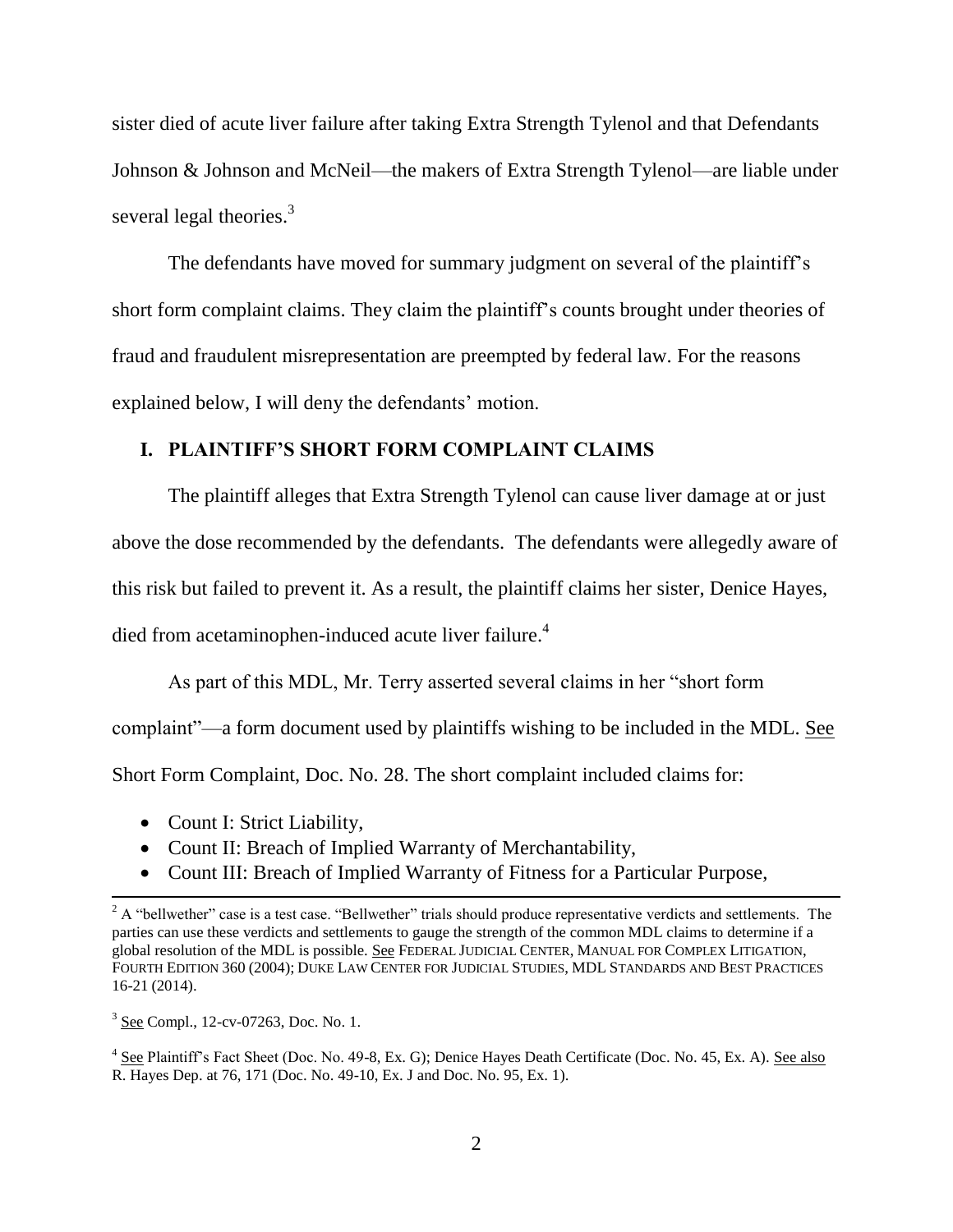sister died of acute liver failure after taking Extra Strength Tylenol and that Defendants Johnson & Johnson and McNeil—the makers of Extra Strength Tylenol—are liable under several legal theories.<sup>3</sup>

The defendants have moved for summary judgment on several of the plaintiff's short form complaint claims. They claim the plaintiff's counts brought under theories of fraud and fraudulent misrepresentation are preempted by federal law. For the reasons explained below, I will deny the defendants' motion.

## **I. PLAINTIFF'S SHORT FORM COMPLAINT CLAIMS**

The plaintiff alleges that Extra Strength Tylenol can cause liver damage at or just above the dose recommended by the defendants. The defendants were allegedly aware of this risk but failed to prevent it. As a result, the plaintiff claims her sister, Denice Hayes, died from acetaminophen-induced acute liver failure.<sup>4</sup>

As part of this MDL, Mr. Terry asserted several claims in her "short form complaint"—a form document used by plaintiffs wishing to be included in the MDL. See Short Form Complaint, Doc. No. 28. The short complaint included claims for:

- Count I: Strict Liability,
- Count II: Breach of Implied Warranty of Merchantability,
- Count III: Breach of Implied Warranty of Fitness for a Particular Purpose,

 $\overline{a}$ 

<sup>&</sup>lt;sup>2</sup> A "bellwether" case is a test case. "Bellwether" trials should produce representative verdicts and settlements. The parties can use these verdicts and settlements to gauge the strength of the common MDL claims to determine if a global resolution of the MDL is possible. See FEDERAL JUDICIAL CENTER, MANUAL FOR COMPLEX LITIGATION, FOURTH EDITION 360 (2004); DUKE LAW CENTER FOR JUDICIAL STUDIES, MDL STANDARDS AND BEST PRACTICES 16-21 (2014).

<sup>&</sup>lt;sup>3</sup> See Compl., 12-cv-07263, Doc. No. 1.

<sup>&</sup>lt;sup>4</sup> See Plaintiff's Fact Sheet (Doc. No. 49-8, Ex. G); Denice Hayes Death Certificate (Doc. No. 45, Ex. A). See also R. Hayes Dep. at 76, 171 (Doc. No. 49-10, Ex. J and Doc. No. 95, Ex. 1).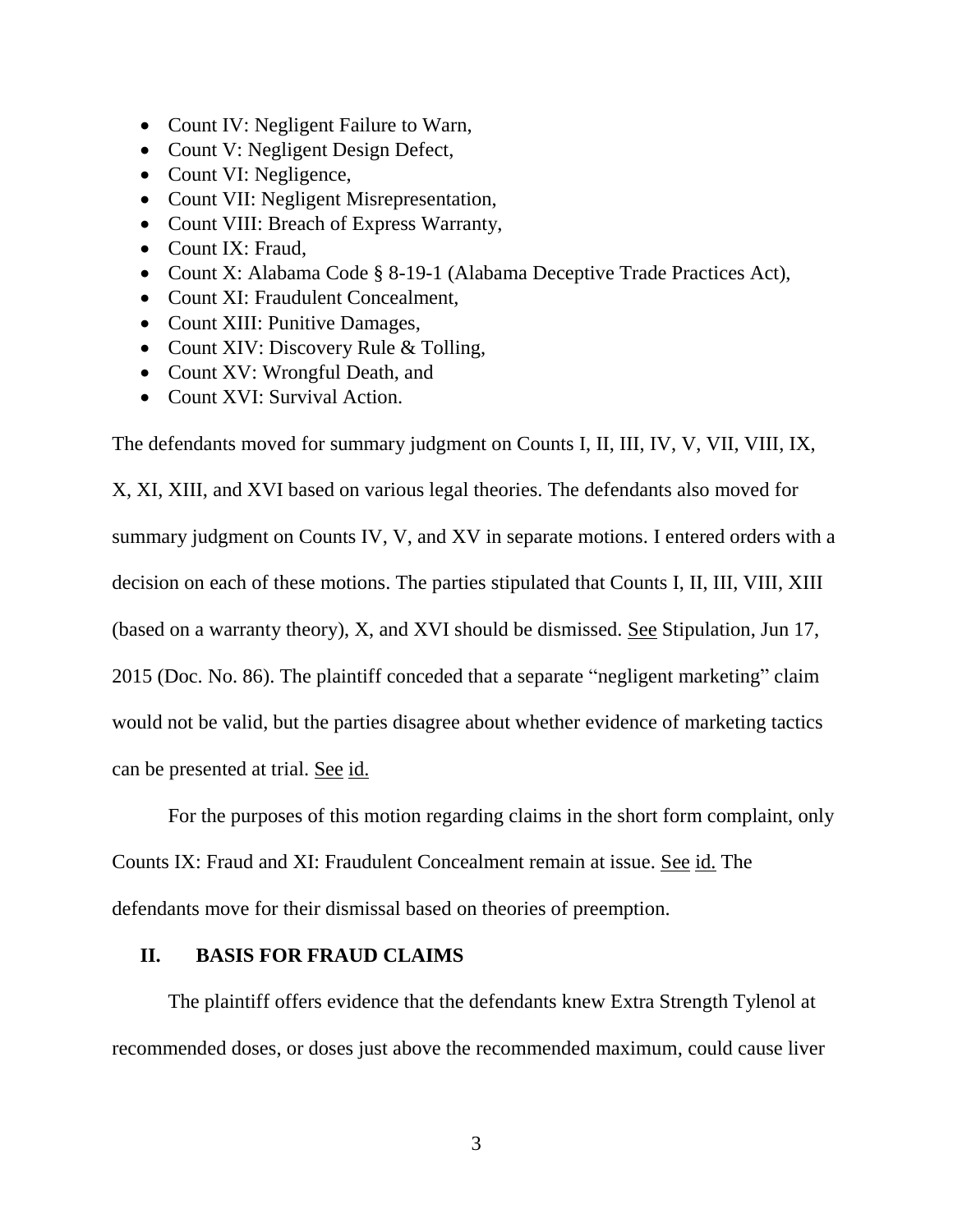- Count IV: Negligent Failure to Warn,
- Count V: Negligent Design Defect,
- Count VI: Negligence,
- Count VII: Negligent Misrepresentation,
- Count VIII: Breach of Express Warranty,
- Count IX: Fraud,
- Count X: Alabama Code § 8-19-1 (Alabama Deceptive Trade Practices Act),
- Count XI: Fraudulent Concealment,
- Count XIII: Punitive Damages,
- Count XIV: Discovery Rule & Tolling,
- Count XV: Wrongful Death, and
- Count XVI: Survival Action.

The defendants moved for summary judgment on Counts I, II, III, IV, V, VII, VIII, IX,

X, XI, XIII, and XVI based on various legal theories. The defendants also moved for summary judgment on Counts IV, V, and XV in separate motions. I entered orders with a decision on each of these motions. The parties stipulated that Counts I, II, III, VIII, XIII (based on a warranty theory), X, and XVI should be dismissed. See Stipulation, Jun 17, 2015 (Doc. No. 86). The plaintiff conceded that a separate "negligent marketing" claim would not be valid, but the parties disagree about whether evidence of marketing tactics can be presented at trial. See id.

For the purposes of this motion regarding claims in the short form complaint, only Counts IX: Fraud and XI: Fraudulent Concealment remain at issue. See id. The defendants move for their dismissal based on theories of preemption.

## **II. BASIS FOR FRAUD CLAIMS**

The plaintiff offers evidence that the defendants knew Extra Strength Tylenol at recommended doses, or doses just above the recommended maximum, could cause liver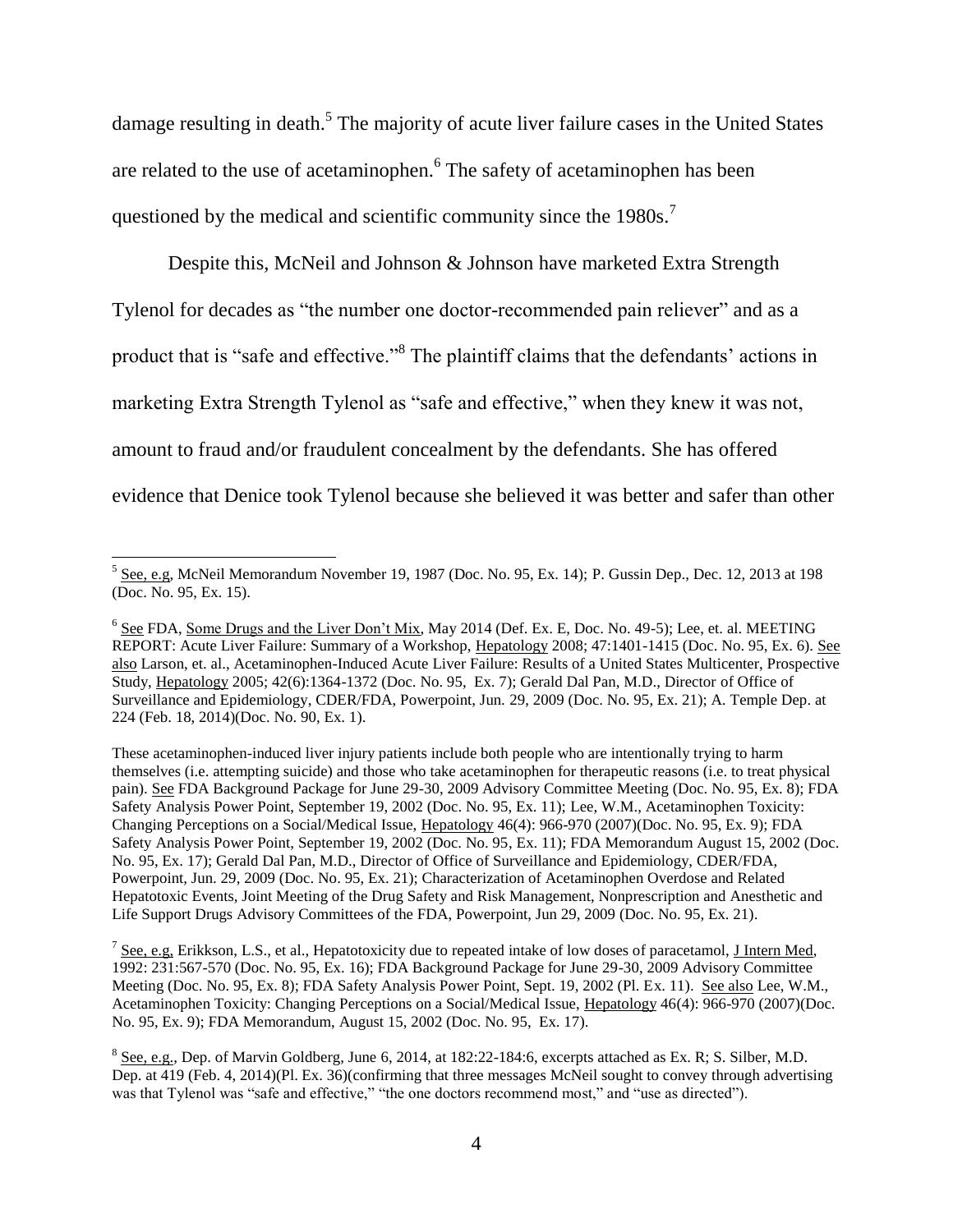damage resulting in death.<sup>5</sup> The majority of acute liver failure cases in the United States are related to the use of acetaminophen. 6 The safety of acetaminophen has been questioned by the medical and scientific community since the 1980s.<sup>7</sup>

Despite this, McNeil and Johnson & Johnson have marketed Extra Strength Tylenol for decades as "the number one doctor-recommended pain reliever" and as a product that is "safe and effective."<sup>8</sup> The plaintiff claims that the defendants' actions in marketing Extra Strength Tylenol as "safe and effective," when they knew it was not, amount to fraud and/or fraudulent concealment by the defendants. She has offered evidence that Denice took Tylenol because she believed it was better and safer than other

 $\overline{\phantom{a}}$ 

These acetaminophen-induced liver injury patients include both people who are intentionally trying to harm themselves (i.e. attempting suicide) and those who take acetaminophen for therapeutic reasons (i.e. to treat physical pain). See FDA Background Package for June 29-30, 2009 Advisory Committee Meeting (Doc. No. 95, Ex. 8); FDA Safety Analysis Power Point, September 19, 2002 (Doc. No. 95, Ex. 11); Lee, W.M., Acetaminophen Toxicity: Changing Perceptions on a Social/Medical Issue, Hepatology 46(4): 966-970 (2007)(Doc. No. 95, Ex. 9); FDA Safety Analysis Power Point, September 19, 2002 (Doc. No. 95, Ex. 11); FDA Memorandum August 15, 2002 (Doc. No. 95, Ex. 17); Gerald Dal Pan, M.D., Director of Office of Surveillance and Epidemiology, CDER/FDA, Powerpoint, Jun. 29, 2009 (Doc. No. 95, Ex. 21); Characterization of Acetaminophen Overdose and Related Hepatotoxic Events, Joint Meeting of the Drug Safety and Risk Management, Nonprescription and Anesthetic and Life Support Drugs Advisory Committees of the FDA, Powerpoint, Jun 29, 2009 (Doc. No. 95, Ex. 21).

 $^7$  See, e.g. Erikkson, L.S., et al., Hepatotoxicity due to repeated intake of low doses of paracetamol, J Intern Med, 1992: 231:567-570 (Doc. No. 95, Ex. 16); FDA Background Package for June 29-30, 2009 Advisory Committee Meeting (Doc. No. 95, Ex. 8); FDA Safety Analysis Power Point, Sept. 19, 2002 (Pl. Ex. 11). See also Lee, W.M., Acetaminophen Toxicity: Changing Perceptions on a Social/Medical Issue, Hepatology 46(4): 966-970 (2007)(Doc. No. 95, Ex. 9); FDA Memorandum, August 15, 2002 (Doc. No. 95, Ex. 17).

 $<sup>5</sup>$  See, e.g, McNeil Memorandum November 19, 1987 (Doc. No. 95, Ex. 14); P. Gussin Dep., Dec. 12, 2013 at 198</sup> (Doc. No. 95, Ex. 15).

 $6$  See FDA, Some Drugs and the Liver Don't Mix, May 2014 (Def. Ex. E, Doc. No. 49-5); Lee, et. al. MEETING REPORT: Acute Liver Failure: Summary of a Workshop, Hepatology 2008; 47:1401-1415 (Doc. No. 95, Ex. 6). See also Larson, et. al., Acetaminophen-Induced Acute Liver Failure: Results of a United States Multicenter, Prospective Study, Hepatology 2005; 42(6):1364-1372 (Doc. No. 95, Ex. 7); Gerald Dal Pan, M.D., Director of Office of Surveillance and Epidemiology, CDER/FDA, Powerpoint, Jun. 29, 2009 (Doc. No. 95, Ex. 21); A. Temple Dep. at 224 (Feb. 18, 2014)(Doc. No. 90, Ex. 1).

 $8$  See, e.g., Dep. of Marvin Goldberg, June 6, 2014, at 182:22-184:6, excerpts attached as Ex. R; S. Silber, M.D. Dep. at 419 (Feb. 4, 2014)(Pl. Ex. 36)(confirming that three messages McNeil sought to convey through advertising was that Tylenol was "safe and effective," "the one doctors recommend most," and "use as directed").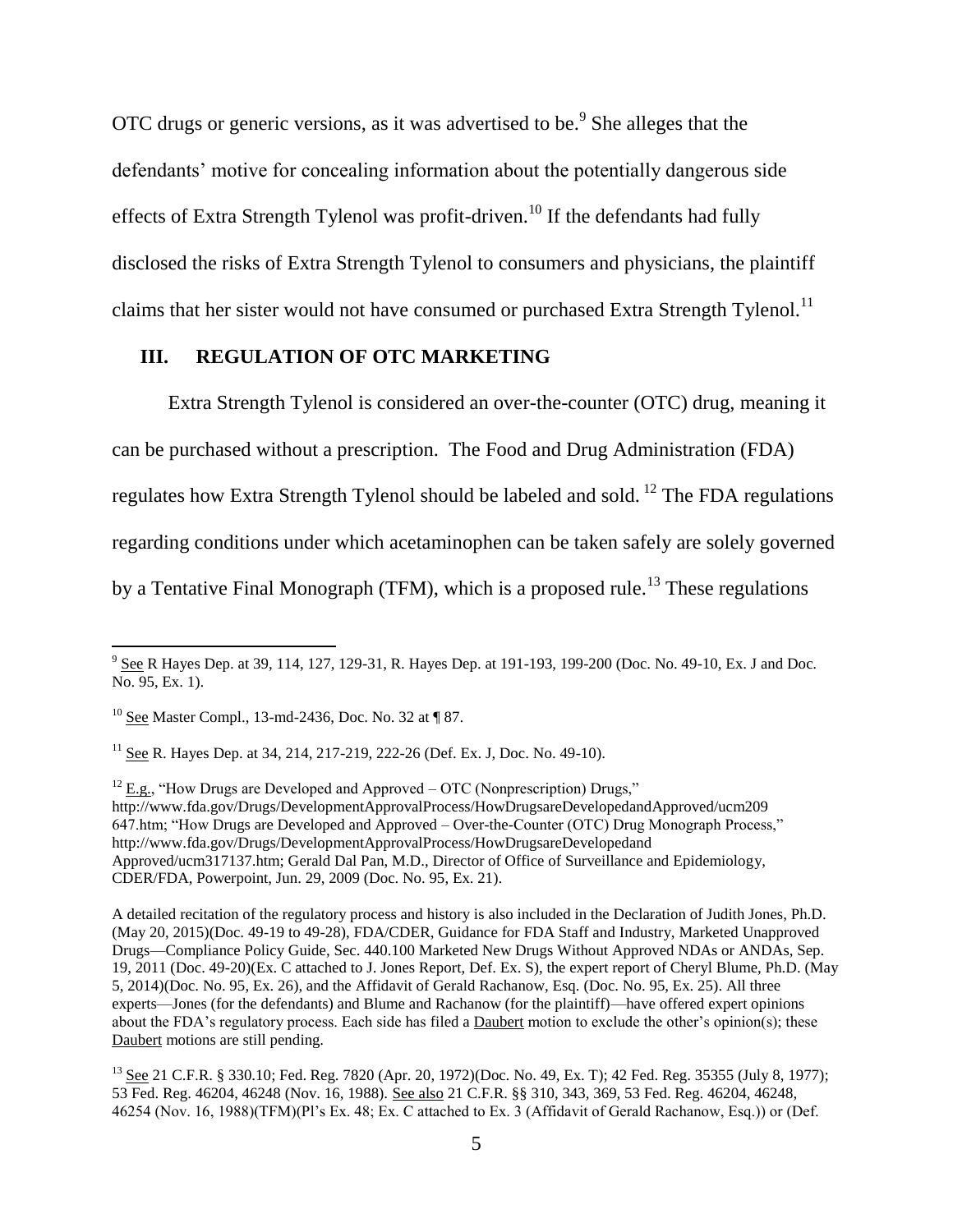OTC drugs or generic versions, as it was advertised to be.<sup>9</sup> She alleges that the defendants' motive for concealing information about the potentially dangerous side effects of Extra Strength Tylenol was profit-driven.<sup>10</sup> If the defendants had fully disclosed the risks of Extra Strength Tylenol to consumers and physicians, the plaintiff claims that her sister would not have consumed or purchased Extra Strength Tylenol.<sup>11</sup>

## **III. REGULATION OF OTC MARKETING**

Extra Strength Tylenol is considered an over-the-counter (OTC) drug, meaning it can be purchased without a prescription. The Food and Drug Administration (FDA) regulates how Extra Strength Tylenol should be labeled and sold. <sup>12</sup> The FDA regulations regarding conditions under which acetaminophen can be taken safely are solely governed by a Tentative Final Monograph (TFM), which is a proposed rule.<sup>13</sup> These regulations

 $12$  E.g., "How Drugs are Developed and Approved – OTC (Nonprescription) Drugs," http://www.fda.gov/Drugs/DevelopmentApprovalProcess/HowDrugsareDevelopedandApproved/ucm209 647.htm; "How Drugs are Developed and Approved – Over-the-Counter (OTC) Drug Monograph Process," http://www.fda.gov/Drugs/DevelopmentApprovalProcess/HowDrugsareDevelopedand Approved/ucm317137.htm; Gerald Dal Pan, M.D., Director of Office of Surveillance and Epidemiology, CDER/FDA, Powerpoint, Jun. 29, 2009 (Doc. No. 95, Ex. 21).

<sup>&</sup>lt;sup>9</sup> See R Hayes Dep. at 39, 114, 127, 129-31, R. Hayes Dep. at 191-193, 199-200 (Doc. No. 49-10, Ex. J and Doc. No. 95, Ex. 1).

 $10$  See Master Compl., 13-md-2436, Doc. No. 32 at  $\P$  87.

<sup>&</sup>lt;sup>11</sup> See R. Hayes Dep. at 34, 214, 217-219, 222-26 (Def. Ex. J, Doc. No. 49-10).

A detailed recitation of the regulatory process and history is also included in the Declaration of Judith Jones, Ph.D. (May 20, 2015)(Doc. 49-19 to 49-28), FDA/CDER, Guidance for FDA Staff and Industry, Marketed Unapproved Drugs—Compliance Policy Guide, Sec. 440.100 Marketed New Drugs Without Approved NDAs or ANDAs, Sep. 19, 2011 (Doc. 49-20)(Ex. C attached to J. Jones Report, Def. Ex. S), the expert report of Cheryl Blume, Ph.D. (May 5, 2014)(Doc. No. 95, Ex. 26), and the Affidavit of Gerald Rachanow, Esq. (Doc. No. 95, Ex. 25). All three experts—Jones (for the defendants) and Blume and Rachanow (for the plaintiff)—have offered expert opinions about the FDA's regulatory process. Each side has filed a Daubert motion to exclude the other's opinion(s); these Daubert motions are still pending.

<sup>&</sup>lt;sup>13</sup> See 21 C.F.R. § 330.10; Fed. Reg. 7820 (Apr. 20, 1972)(Doc. No. 49, Ex. T); 42 Fed. Reg. 35355 (July 8, 1977); 53 Fed. Reg. 46204, 46248 (Nov. 16, 1988). See also 21 C.F.R. §§ 310, 343, 369, 53 Fed. Reg. 46204, 46248, 46254 (Nov. 16, 1988)(TFM)(Pl's Ex. 48; Ex. C attached to Ex. 3 (Affidavit of Gerald Rachanow, Esq.)) or (Def.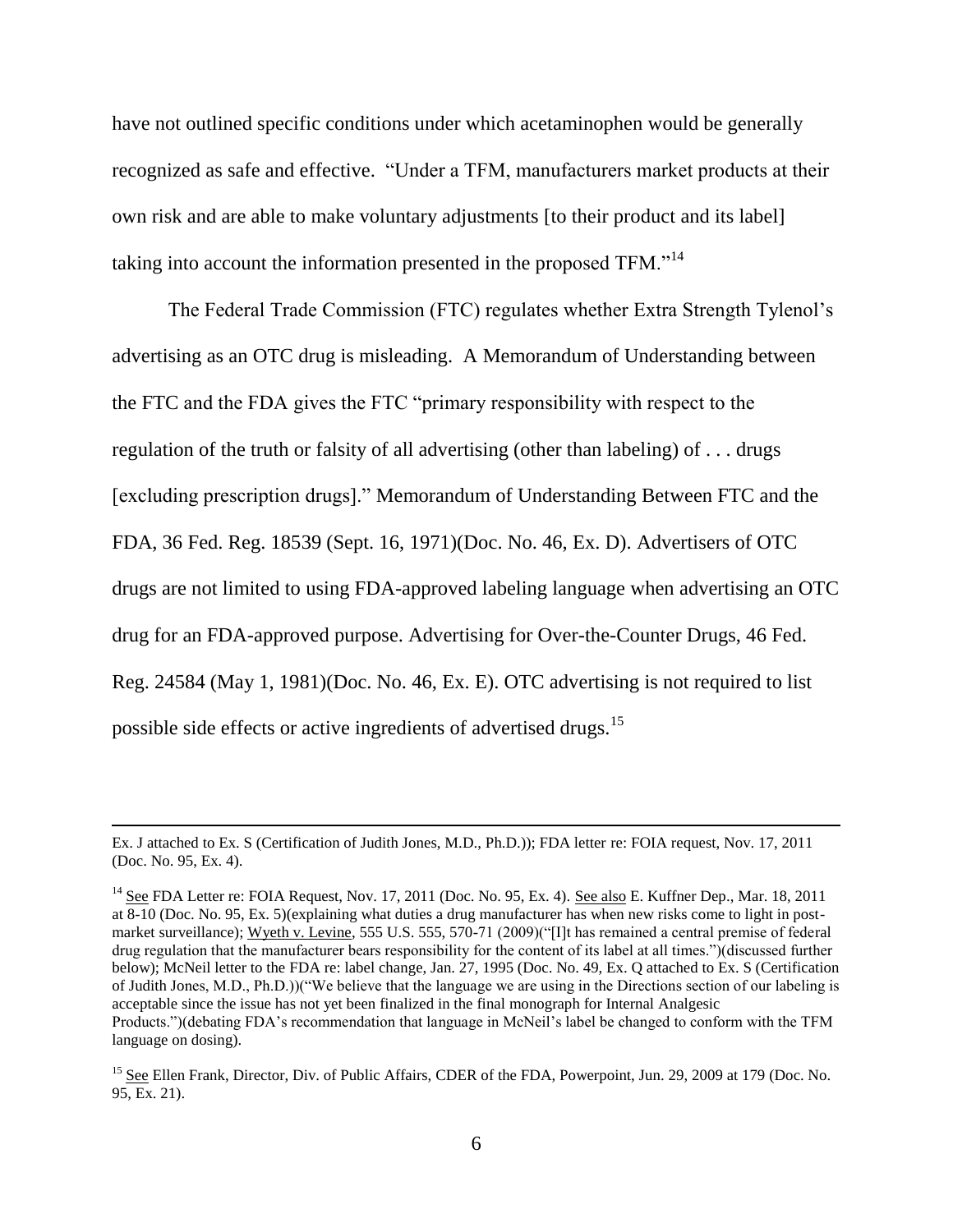have not outlined specific conditions under which acetaminophen would be generally recognized as safe and effective. "Under a TFM, manufacturers market products at their own risk and are able to make voluntary adjustments [to their product and its label] taking into account the information presented in the proposed TFM."<sup>14</sup>

The Federal Trade Commission (FTC) regulates whether Extra Strength Tylenol's advertising as an OTC drug is misleading. A Memorandum of Understanding between the FTC and the FDA gives the FTC "primary responsibility with respect to the regulation of the truth or falsity of all advertising (other than labeling) of . . . drugs [excluding prescription drugs]." Memorandum of Understanding Between FTC and the FDA, 36 Fed. Reg. 18539 (Sept. 16, 1971)(Doc. No. 46, Ex. D). Advertisers of OTC drugs are not limited to using FDA-approved labeling language when advertising an OTC drug for an FDA-approved purpose. Advertising for Over-the-Counter Drugs, 46 Fed. Reg. 24584 (May 1, 1981)(Doc. No. 46, Ex. E). OTC advertising is not required to list possible side effects or active ingredients of advertised drugs.<sup>15</sup>

 $\overline{\phantom{a}}$ 

Ex. J attached to Ex. S (Certification of Judith Jones, M.D., Ph.D.)); FDA letter re: FOIA request, Nov. 17, 2011 (Doc. No. 95, Ex. 4).

<sup>&</sup>lt;sup>14</sup> See FDA Letter re: FOIA Request, Nov. 17, 2011 (Doc. No. 95, Ex. 4). See also E. Kuffner Dep., Mar. 18, 2011 at 8-10 (Doc. No. 95, Ex. 5)(explaining what duties a drug manufacturer has when new risks come to light in postmarket surveillance); Wyeth v. Levine, 555 U.S. 555, 570-71 (2009)("[I]t has remained a central premise of federal drug regulation that the manufacturer bears responsibility for the content of its label at all times.")(discussed further below); McNeil letter to the FDA re: label change, Jan. 27, 1995 (Doc. No. 49, Ex. Q attached to Ex. S (Certification of Judith Jones, M.D., Ph.D.))("We believe that the language we are using in the Directions section of our labeling is acceptable since the issue has not yet been finalized in the final monograph for Internal Analgesic Products.")(debating FDA's recommendation that language in McNeil's label be changed to conform with the TFM language on dosing).

<sup>&</sup>lt;sup>15</sup> See Ellen Frank, Director, Div. of Public Affairs, CDER of the FDA, Powerpoint, Jun. 29, 2009 at 179 (Doc. No. 95, Ex. 21).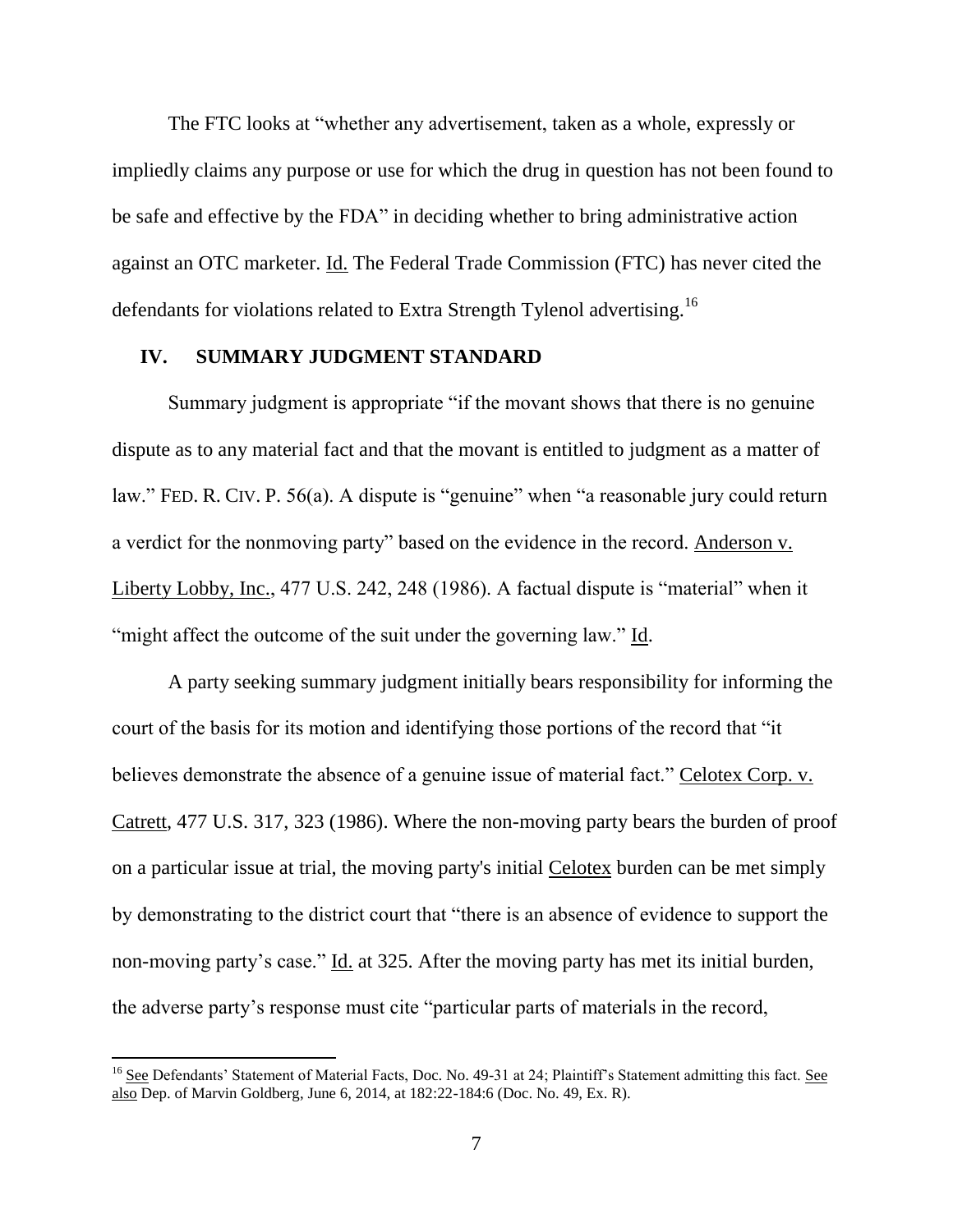The FTC looks at "whether any advertisement, taken as a whole, expressly or impliedly claims any purpose or use for which the drug in question has not been found to be safe and effective by the FDA" in deciding whether to bring administrative action against an OTC marketer. Id. The Federal Trade Commission (FTC) has never cited the defendants for violations related to Extra Strength Tylenol advertising.<sup>16</sup>

## **IV. SUMMARY JUDGMENT STANDARD**

Summary judgment is appropriate "if the movant shows that there is no genuine dispute as to any material fact and that the movant is entitled to judgment as a matter of law." FED. R. CIV. P. 56(a). A dispute is "genuine" when "a reasonable jury could return a verdict for the nonmoving party" based on the evidence in the record. Anderson v. Liberty Lobby, Inc., 477 U.S. 242, 248 (1986). A factual dispute is "material" when it "might affect the outcome of the suit under the governing law." Id.

A party seeking summary judgment initially bears responsibility for informing the court of the basis for its motion and identifying those portions of the record that "it believes demonstrate the absence of a genuine issue of material fact." Celotex Corp. v. Catrett, 477 U.S. 317, 323 (1986). Where the non-moving party bears the burden of proof on a particular issue at trial, the moving party's initial Celotex burden can be met simply by demonstrating to the district court that "there is an absence of evidence to support the non-moving party's case." Id. at 325. After the moving party has met its initial burden, the adverse party's response must cite "particular parts of materials in the record,

 $\overline{\phantom{a}}$ 

<sup>&</sup>lt;sup>16</sup> See Defendants' Statement of Material Facts, Doc. No. 49-31 at 24; Plaintiff's Statement admitting this fact. See also Dep. of Marvin Goldberg, June 6, 2014, at 182:22-184:6 (Doc. No. 49, Ex. R).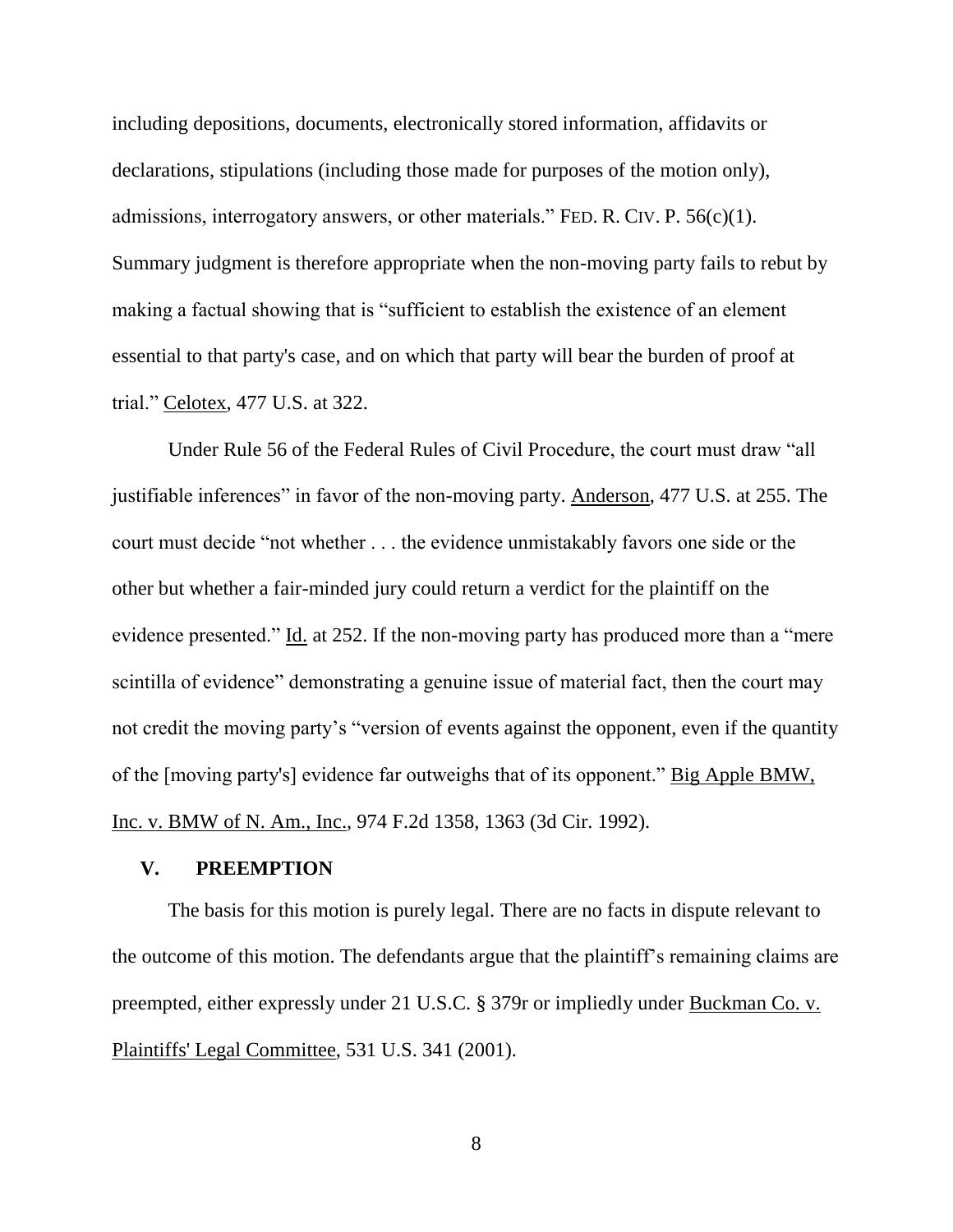including depositions, documents, electronically stored information, affidavits or declarations, stipulations (including those made for purposes of the motion only), admissions, interrogatory answers, or other materials." FED. R. CIV. P.  $56(c)(1)$ . Summary judgment is therefore appropriate when the non-moving party fails to rebut by making a factual showing that is "sufficient to establish the existence of an element essential to that party's case, and on which that party will bear the burden of proof at trial." Celotex, 477 U.S. at 322.

Under Rule 56 of the Federal Rules of Civil Procedure, the court must draw "all justifiable inferences" in favor of the non-moving party. Anderson, 477 U.S. at 255. The court must decide "not whether . . . the evidence unmistakably favors one side or the other but whether a fair-minded jury could return a verdict for the plaintiff on the evidence presented." Id. at 252. If the non-moving party has produced more than a "mere scintilla of evidence" demonstrating a genuine issue of material fact, then the court may not credit the moving party's "version of events against the opponent, even if the quantity of the [moving party's] evidence far outweighs that of its opponent." Big Apple BMW, Inc. v. BMW of N. Am., Inc., 974 F.2d 1358, 1363 (3d Cir. 1992).

## **V. PREEMPTION**

The basis for this motion is purely legal. There are no facts in dispute relevant to the outcome of this motion. The defendants argue that the plaintiff's remaining claims are preempted, either expressly under 21 U.S.C. § 379r or impliedly under Buckman Co. v. Plaintiffs' Legal Committee, 531 U.S. 341 (2001).

8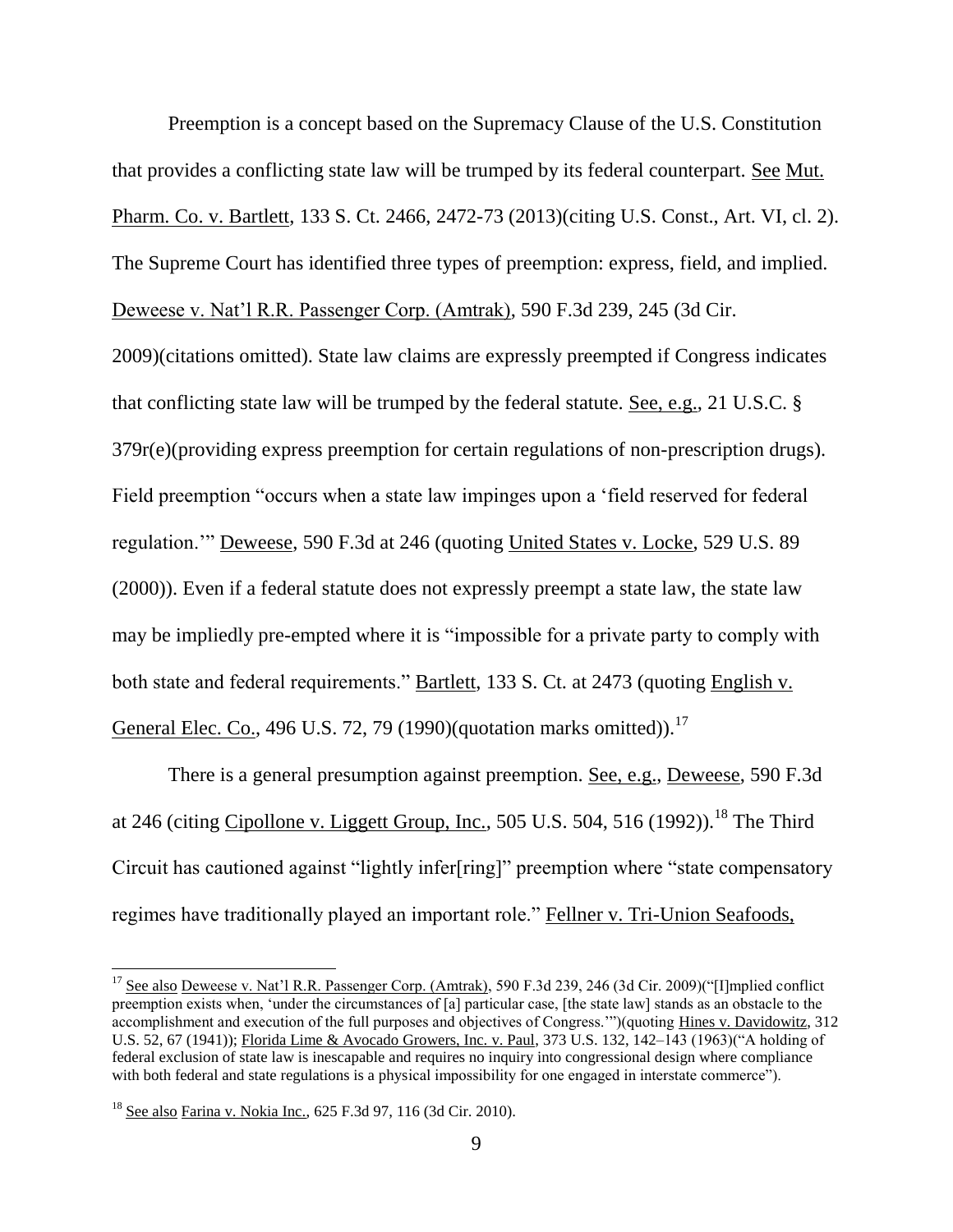Preemption is a concept based on the Supremacy Clause of the U.S. Constitution that provides a conflicting state law will be trumped by its federal counterpart. See Mut. Pharm. Co. v. Bartlett, 133 S. Ct. 2466, 2472-73 (2013)(citing U.S. Const., Art. VI, cl. 2). The Supreme Court has identified three types of preemption: express, field, and implied. Deweese v. Nat'l R.R. Passenger Corp. (Amtrak), 590 F.3d 239, 245 (3d Cir.

2009)(citations omitted). State law claims are expressly preempted if Congress indicates that conflicting state law will be trumped by the federal statute. See, e.g., 21 U.S.C. § 379r(e)(providing express preemption for certain regulations of non-prescription drugs). Field preemption "occurs when a state law impinges upon a 'field reserved for federal regulation.'" Deweese, 590 F.3d at 246 (quoting United States v. Locke, 529 U.S. 89 (2000)). Even if a federal statute does not expressly preempt a state law, the state law may be impliedly pre-empted where it is "impossible for a private party to comply with both state and federal requirements." Bartlett, 133 S. Ct. at 2473 (quoting English v. General Elec. Co., 496 U.S. 72, 79 (1990)(quotation marks omitted)).<sup>17</sup>

There is a general presumption against preemption. See, e.g., Deweese, 590 F.3d at 246 (citing Cipollone v. Liggett Group, Inc., 505 U.S. 504, 516 (1992)).<sup>18</sup> The Third Circuit has cautioned against "lightly infer[ring]" preemption where "state compensatory regimes have traditionally played an important role." Fellner v. Tri-Union Seafoods,

 $\overline{a}$ 

<sup>&</sup>lt;sup>17</sup> See also Deweese v. Nat'l R.R. Passenger Corp. (Amtrak), 590 F.3d 239, 246 (3d Cir. 2009)("[I]mplied conflict preemption exists when, 'under the circumstances of [a] particular case, [the state law] stands as an obstacle to the accomplishment and execution of the full purposes and objectives of Congress.'")(quoting Hines v. Davidowitz, 312 U.S. 52, 67 (1941)); Florida Lime & Avocado Growers, Inc. v. Paul, 373 U.S. 132, 142–143 (1963)("A holding of federal exclusion of state law is inescapable and requires no inquiry into congressional design where compliance with both federal and state regulations is a physical impossibility for one engaged in interstate commerce").

<sup>18</sup> See also Farina v. Nokia Inc., 625 F.3d 97, 116 (3d Cir. 2010).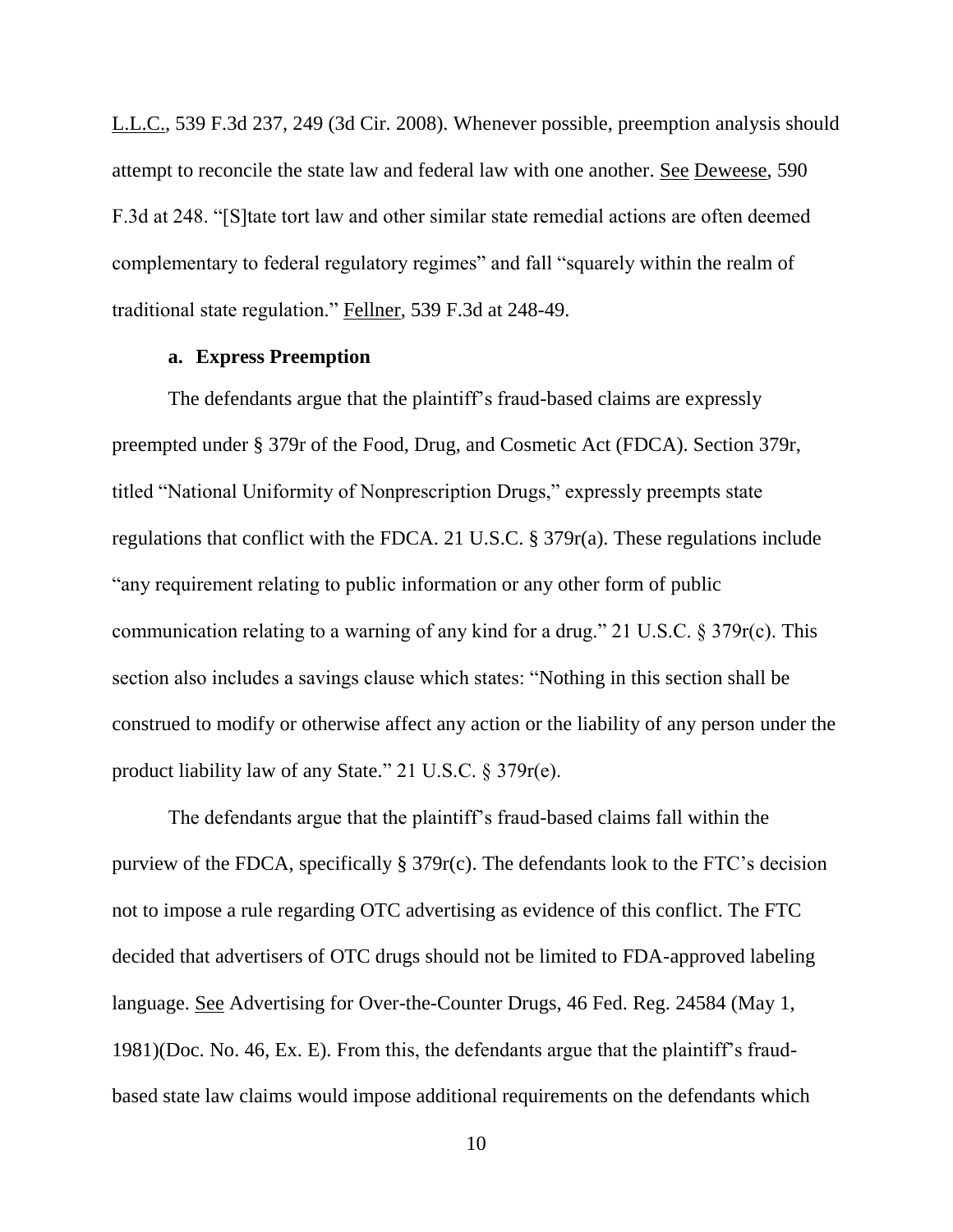L.L.C., 539 F.3d 237, 249 (3d Cir. 2008). Whenever possible, preemption analysis should attempt to reconcile the state law and federal law with one another. See Deweese, 590 F.3d at 248. "[S]tate tort law and other similar state remedial actions are often deemed complementary to federal regulatory regimes" and fall "squarely within the realm of traditional state regulation." Fellner, 539 F.3d at 248-49.

#### **a. Express Preemption**

The defendants argue that the plaintiff's fraud-based claims are expressly preempted under § 379r of the Food, Drug, and Cosmetic Act (FDCA). Section 379r, titled "National Uniformity of Nonprescription Drugs," expressly preempts state regulations that conflict with the FDCA. 21 U.S.C. § 379r(a). These regulations include "any requirement relating to public information or any other form of public communication relating to a warning of any kind for a drug." 21 U.S.C. § 379r(c). This section also includes a savings clause which states: "Nothing in this section shall be construed to modify or otherwise affect any action or the liability of any person under the product liability law of any State." 21 U.S.C. § 379r(e).

The defendants argue that the plaintiff's fraud-based claims fall within the purview of the FDCA, specifically § 379r(c). The defendants look to the FTC's decision not to impose a rule regarding OTC advertising as evidence of this conflict. The FTC decided that advertisers of OTC drugs should not be limited to FDA-approved labeling language. See Advertising for Over-the-Counter Drugs, 46 Fed. Reg. 24584 (May 1, 1981)(Doc. No. 46, Ex. E). From this, the defendants argue that the plaintiff's fraudbased state law claims would impose additional requirements on the defendants which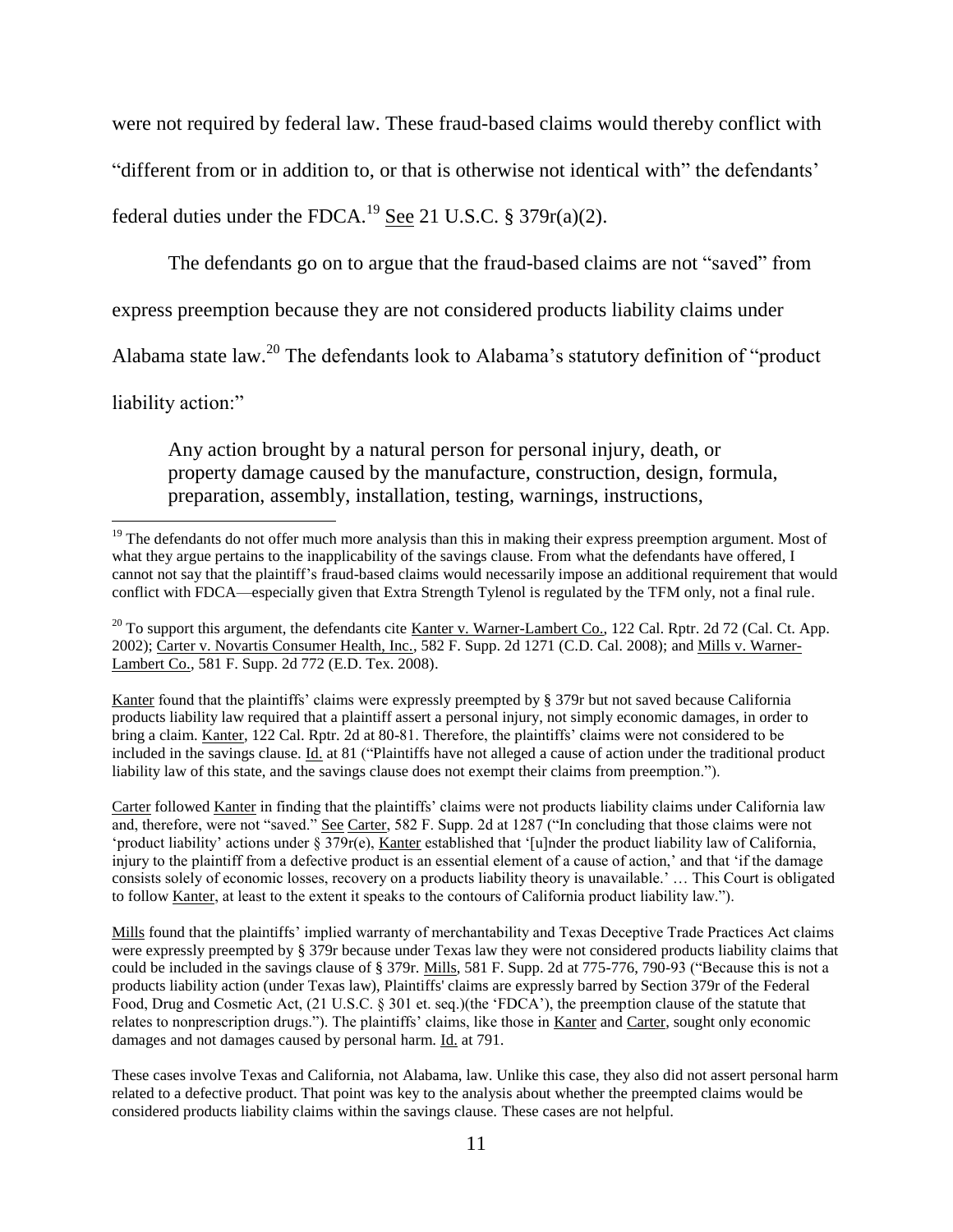were not required by federal law. These fraud-based claims would thereby conflict with "different from or in addition to, or that is otherwise not identical with" the defendants' federal duties under the FDCA.<sup>19</sup> See 21 U.S.C. § 379 $r(a)(2)$ .

The defendants go on to argue that the fraud-based claims are not "saved" from

express preemption because they are not considered products liability claims under

Alabama state law.<sup>20</sup> The defendants look to Alabama's statutory definition of "product

liability action:"

l

Any action brought by a natural person for personal injury, death, or property damage caused by the manufacture, construction, design, formula, preparation, assembly, installation, testing, warnings, instructions,

Kanter found that the plaintiffs' claims were expressly preempted by § 379r but not saved because California products liability law required that a plaintiff assert a personal injury, not simply economic damages, in order to bring a claim. Kanter, 122 Cal. Rptr. 2d at 80-81. Therefore, the plaintiffs' claims were not considered to be included in the savings clause. Id. at 81 ("Plaintiffs have not alleged a cause of action under the traditional product liability law of this state, and the savings clause does not exempt their claims from preemption.").

Carter followed Kanter in finding that the plaintiffs' claims were not products liability claims under California law and, therefore, were not "saved." See Carter, 582 F. Supp. 2d at 1287 ("In concluding that those claims were not 'product liability' actions under § 379r(e), Kanter established that '[u]nder the product liability law of California, injury to the plaintiff from a defective product is an essential element of a cause of action,' and that 'if the damage consists solely of economic losses, recovery on a products liability theory is unavailable.' … This Court is obligated to follow Kanter, at least to the extent it speaks to the contours of California product liability law.").

Mills found that the plaintiffs' implied warranty of merchantability and Texas Deceptive Trade Practices Act claims were expressly preempted by § 379r because under Texas law they were not considered products liability claims that could be included in the savings clause of § 379r. Mills, 581 F. Supp. 2d at 775-776, 790-93 ("Because this is not a products liability action (under Texas law), Plaintiffs' claims are expressly barred by Section 379r of the Federal Food, Drug and Cosmetic Act, (21 U.S.C. § 301 et. seq.)(the 'FDCA'), the preemption clause of the statute that relates to nonprescription drugs."). The plaintiffs' claims, like those in Kanter and Carter, sought only economic damages and not damages caused by personal harm. Id. at 791.

These cases involve Texas and California, not Alabama, law. Unlike this case, they also did not assert personal harm related to a defective product. That point was key to the analysis about whether the preempted claims would be considered products liability claims within the savings clause. These cases are not helpful.

<sup>&</sup>lt;sup>19</sup> The defendants do not offer much more analysis than this in making their express preemption argument. Most of what they argue pertains to the inapplicability of the savings clause. From what the defendants have offered, I cannot not say that the plaintiff's fraud-based claims would necessarily impose an additional requirement that would conflict with FDCA—especially given that Extra Strength Tylenol is regulated by the TFM only, not a final rule.

 $^{20}$  To support this argument, the defendants cite Kanter v. Warner-Lambert Co., 122 Cal. Rptr. 2d 72 (Cal. Ct. App. 2002); Carter v. Novartis Consumer Health, Inc., 582 F. Supp. 2d 1271 (C.D. Cal. 2008); and Mills v. Warner-Lambert Co., 581 F. Supp. 2d 772 (E.D. Tex. 2008).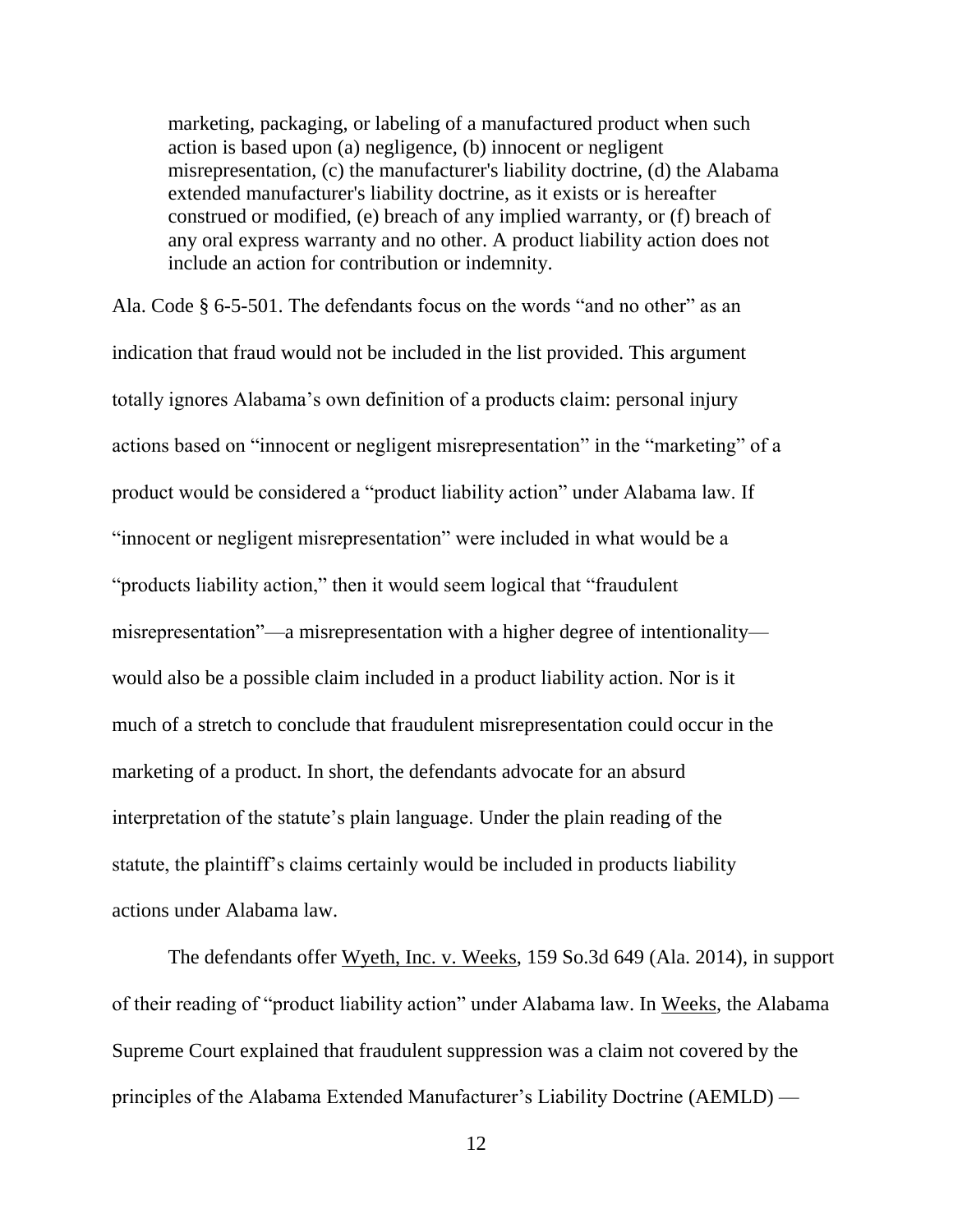marketing, packaging, or labeling of a manufactured product when such action is based upon (a) negligence, (b) innocent or negligent misrepresentation, (c) the manufacturer's liability doctrine, (d) the Alabama extended manufacturer's liability doctrine, as it exists or is hereafter construed or modified, (e) breach of any implied warranty, or (f) breach of any oral express warranty and no other. A product liability action does not include an action for contribution or indemnity.

Ala. Code § 6-5-501. The defendants focus on the words "and no other" as an indication that fraud would not be included in the list provided. This argument totally ignores Alabama's own definition of a products claim: personal injury actions based on "innocent or negligent misrepresentation" in the "marketing" of a product would be considered a "product liability action" under Alabama law. If "innocent or negligent misrepresentation" were included in what would be a "products liability action," then it would seem logical that "fraudulent misrepresentation"—a misrepresentation with a higher degree of intentionality would also be a possible claim included in a product liability action. Nor is it much of a stretch to conclude that fraudulent misrepresentation could occur in the marketing of a product. In short, the defendants advocate for an absurd interpretation of the statute's plain language. Under the plain reading of the statute, the plaintiff's claims certainly would be included in products liability actions under Alabama law.

The defendants offer Wyeth, Inc. v. Weeks, 159 So.3d 649 (Ala. 2014), in support of their reading of "product liability action" under Alabama law. In Weeks, the Alabama Supreme Court explained that fraudulent suppression was a claim not covered by the principles of the Alabama Extended Manufacturer's Liability Doctrine (AEMLD) —

12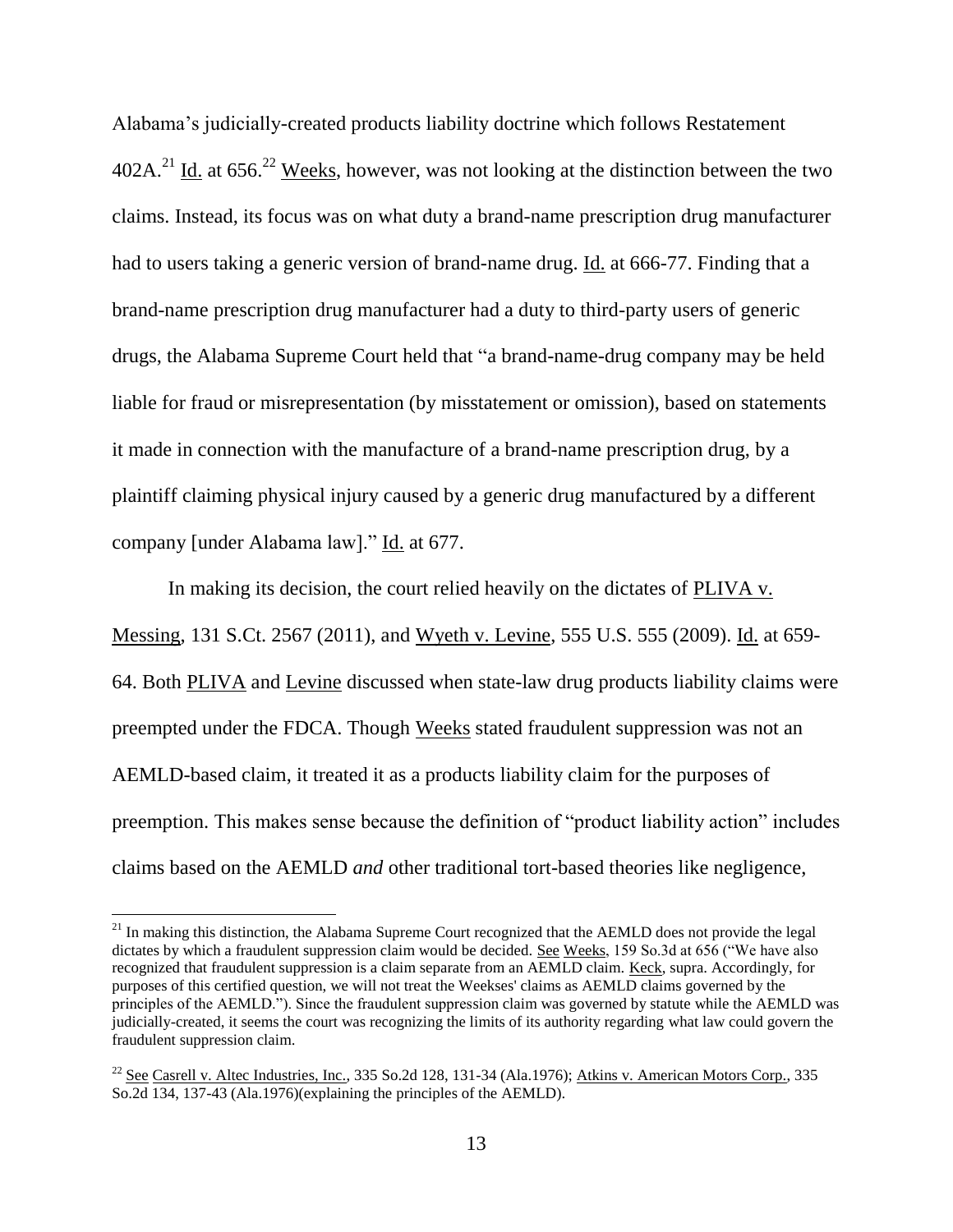Alabama's judicially-created products liability doctrine which follows Restatement  $402A<sup>21</sup>$  Id. at 656<sup>22</sup> Weeks, however, was not looking at the distinction between the two claims. Instead, its focus was on what duty a brand-name prescription drug manufacturer had to users taking a generic version of brand-name drug. Id. at 666-77. Finding that a brand-name prescription drug manufacturer had a duty to third-party users of generic drugs, the Alabama Supreme Court held that "a brand-name-drug company may be held liable for fraud or misrepresentation (by misstatement or omission), based on statements it made in connection with the manufacture of a brand-name prescription drug, by a plaintiff claiming physical injury caused by a generic drug manufactured by a different company [under Alabama law]." Id. at 677.

In making its decision, the court relied heavily on the dictates of PLIVA v. Messing, 131 S.Ct. 2567 (2011), and Wyeth v. Levine, 555 U.S. 555 (2009). Id. at 659- 64. Both PLIVA and Levine discussed when state-law drug products liability claims were preempted under the FDCA. Though Weeks stated fraudulent suppression was not an AEMLD-based claim, it treated it as a products liability claim for the purposes of preemption. This makes sense because the definition of "product liability action" includes claims based on the AEMLD *and* other traditional tort-based theories like negligence,

 $\overline{\phantom{a}}$ 

<sup>&</sup>lt;sup>21</sup> In making this distinction, the Alabama Supreme Court recognized that the AEMLD does not provide the legal dictates by which a fraudulent suppression claim would be decided. See Weeks, 159 So.3d at 656 ("We have also recognized that fraudulent suppression is a claim separate from an AEMLD claim. Keck, supra. Accordingly, for purposes of this certified question, we will not treat the Weekses' claims as AEMLD claims governed by the principles of the AEMLD."). Since the fraudulent suppression claim was governed by statute while the AEMLD was judicially-created, it seems the court was recognizing the limits of its authority regarding what law could govern the fraudulent suppression claim.

<sup>&</sup>lt;sup>22</sup> See Casrell v. Altec Industries, Inc., 335 So.2d 128, 131-34 (Ala.1976); Atkins v. American Motors Corp., 335 So.2d 134, 137-43 (Ala.1976)(explaining the principles of the AEMLD).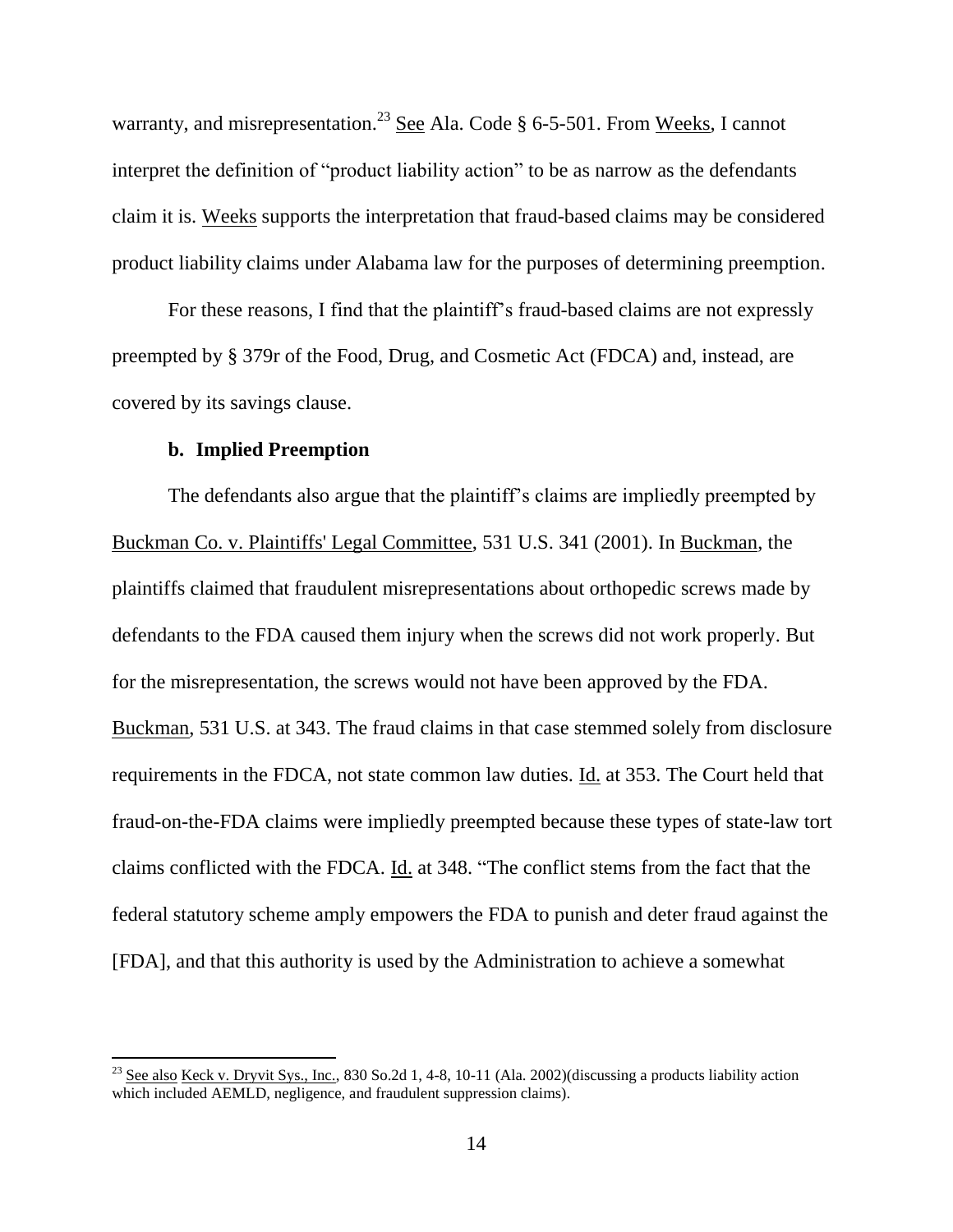warranty, and misrepresentation.<sup>23</sup> See Ala. Code § 6-5-501. From Weeks, I cannot interpret the definition of "product liability action" to be as narrow as the defendants claim it is. Weeks supports the interpretation that fraud-based claims may be considered product liability claims under Alabama law for the purposes of determining preemption.

For these reasons, I find that the plaintiff's fraud-based claims are not expressly preempted by § 379r of the Food, Drug, and Cosmetic Act (FDCA) and, instead, are covered by its savings clause.

## **b. Implied Preemption**

 $\overline{\phantom{a}}$ 

The defendants also argue that the plaintiff's claims are impliedly preempted by Buckman Co. v. Plaintiffs' Legal Committee, 531 U.S. 341 (2001). In Buckman, the plaintiffs claimed that fraudulent misrepresentations about orthopedic screws made by defendants to the FDA caused them injury when the screws did not work properly. But for the misrepresentation, the screws would not have been approved by the FDA. Buckman, 531 U.S. at 343. The fraud claims in that case stemmed solely from disclosure requirements in the FDCA, not state common law duties. Id. at 353. The Court held that fraud-on-the-FDA claims were impliedly preempted because these types of state-law tort claims conflicted with the FDCA. Id. at 348. "The conflict stems from the fact that the federal statutory scheme amply empowers the FDA to punish and deter fraud against the [FDA], and that this authority is used by the Administration to achieve a somewhat

<sup>&</sup>lt;sup>23</sup> See also Keck v. Dryvit Sys., Inc., 830 So.2d 1, 4-8, 10-11 (Ala. 2002)(discussing a products liability action which included AEMLD, negligence, and fraudulent suppression claims).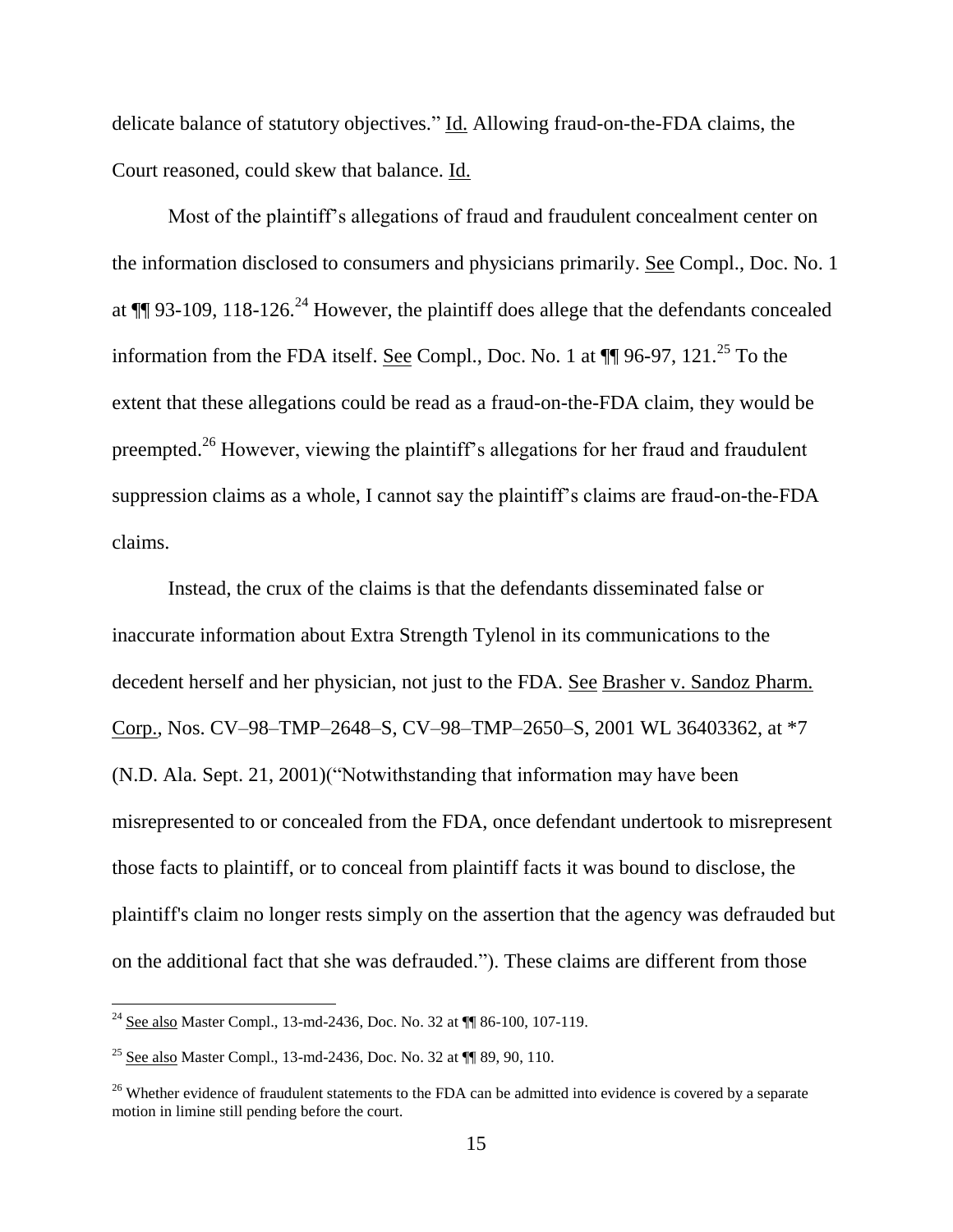delicate balance of statutory objectives." Id. Allowing fraud-on-the-FDA claims, the Court reasoned, could skew that balance. Id.

Most of the plaintiff's allegations of fraud and fraudulent concealment center on the information disclosed to consumers and physicians primarily. See Compl., Doc. No. 1 at  $\P$ [ 93-109, 118-126.<sup>24</sup> However, the plaintiff does allege that the defendants concealed information from the FDA itself. See Compl., Doc. No. 1 at  $\P\P$  96-97, 121.<sup>25</sup> To the extent that these allegations could be read as a fraud-on-the-FDA claim, they would be preempted.<sup>26</sup> However, viewing the plaintiff's allegations for her fraud and fraudulent suppression claims as a whole, I cannot say the plaintiff's claims are fraud-on-the-FDA claims.

Instead, the crux of the claims is that the defendants disseminated false or inaccurate information about Extra Strength Tylenol in its communications to the decedent herself and her physician, not just to the FDA. See Brasher v. Sandoz Pharm. Corp., Nos. CV–98–TMP–2648–S, CV–98–TMP–2650–S, 2001 WL 36403362, at \*7 (N.D. Ala. Sept. 21, 2001)("Notwithstanding that information may have been misrepresented to or concealed from the FDA, once defendant undertook to misrepresent those facts to plaintiff, or to conceal from plaintiff facts it was bound to disclose, the plaintiff's claim no longer rests simply on the assertion that the agency was defrauded but on the additional fact that she was defrauded."). These claims are different from those

l

 $^{24}$  See also Master Compl., 13-md-2436, Doc. No. 32 at  $\P$  86-100, 107-119.

<sup>25</sup> See also Master Compl., 13-md-2436, Doc. No. 32 at ¶¶ 89, 90, 110.

<sup>&</sup>lt;sup>26</sup> Whether evidence of fraudulent statements to the FDA can be admitted into evidence is covered by a separate motion in limine still pending before the court.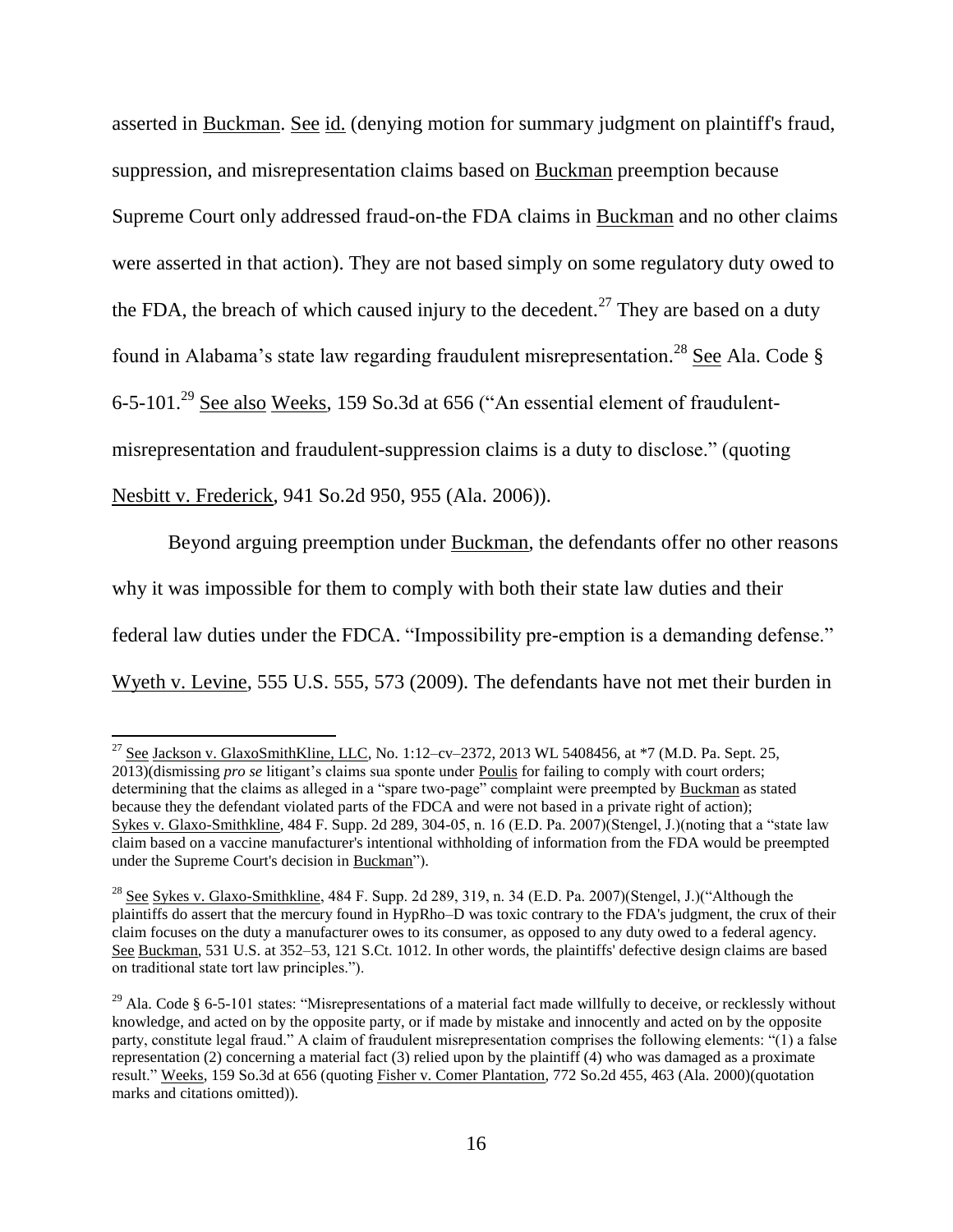asserted in Buckman. See id. (denying motion for summary judgment on plaintiff's fraud, suppression, and misrepresentation claims based on Buckman preemption because Supreme Court only addressed fraud-on-the FDA claims in Buckman and no other claims were asserted in that action). They are not based simply on some regulatory duty owed to the FDA, the breach of which caused injury to the decedent.<sup>27</sup> They are based on a duty found in Alabama's state law regarding fraudulent misrepresentation.<sup>28</sup> See Ala. Code § 6-5-101.<sup>29</sup> See also Weeks, 159 So.3d at 656 ("An essential element of fraudulentmisrepresentation and fraudulent-suppression claims is a duty to disclose." (quoting Nesbitt v. Frederick, 941 So.2d 950, 955 (Ala. 2006)).

Beyond arguing preemption under Buckman, the defendants offer no other reasons why it was impossible for them to comply with both their state law duties and their federal law duties under the FDCA. "Impossibility pre-emption is a demanding defense." Wyeth v. Levine, 555 U.S. 555, 573 (2009). The defendants have not met their burden in

l

 $^{27}$  See Jackson v. GlaxoSmithKline, LLC, No. 1:12–cv–2372, 2013 WL 5408456, at \*7 (M.D. Pa. Sept. 25, 2013)(dismissing *pro se* litigant's claims sua sponte under Poulis for failing to comply with court orders; determining that the claims as alleged in a "spare two-page" complaint were preempted by Buckman as stated because they the defendant violated parts of the FDCA and were not based in a private right of action); Sykes v. Glaxo-Smithkline, 484 F. Supp. 2d 289, 304-05, n. 16 (E.D. Pa. 2007)(Stengel, J.)(noting that a "state law claim based on a vaccine manufacturer's intentional withholding of information from the FDA would be preempted under the Supreme Court's decision in Buckman").

<sup>&</sup>lt;sup>28</sup> See Sykes v. Glaxo-Smithkline, 484 F. Supp. 2d 289, 319, n. 34 (E.D. Pa. 2007)(Stengel, J.)("Although the plaintiffs do assert that the mercury found in HypRho–D was toxic contrary to the FDA's judgment, the crux of their claim focuses on the duty a manufacturer owes to its consumer, as opposed to any duty owed to a federal agency. See Buckman, 531 U.S. at 352–53, 121 S.Ct. 1012. In other words, the plaintiffs' defective design claims are based on traditional state tort law principles.").

<sup>&</sup>lt;sup>29</sup> Ala. Code § 6-5-101 states: "Misrepresentations of a material fact made willfully to deceive, or recklessly without knowledge, and acted on by the opposite party, or if made by mistake and innocently and acted on by the opposite party, constitute legal fraud." A claim of fraudulent misrepresentation comprises the following elements: "(1) a false representation (2) concerning a material fact (3) relied upon by the plaintiff (4) who was damaged as a proximate result." Weeks, 159 So.3d at 656 (quoting Fisher v. Comer Plantation, 772 So.2d 455, 463 (Ala. 2000)(quotation marks and citations omitted)).